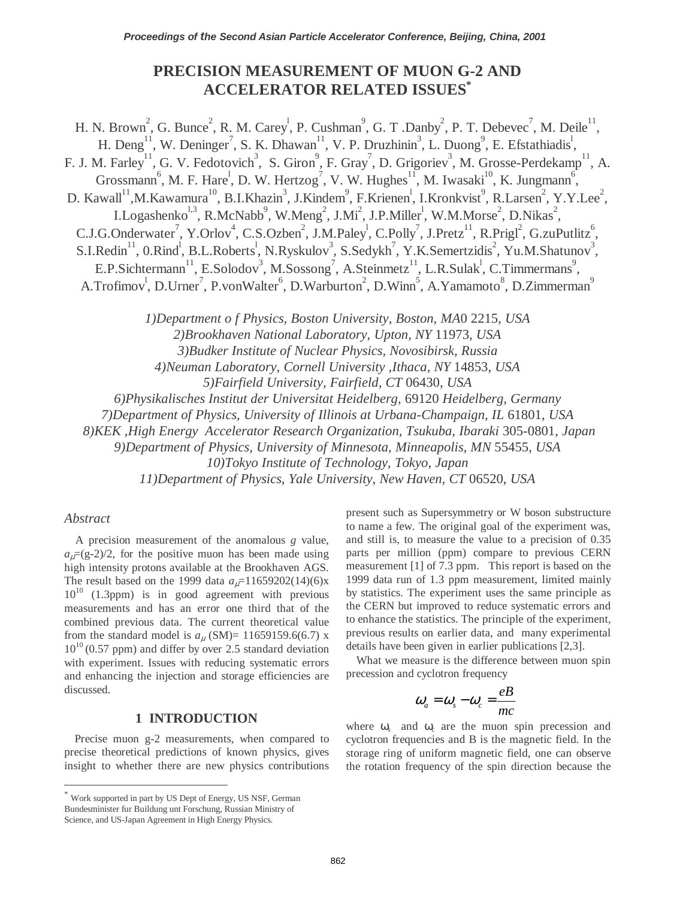# **PRECISION MEASUREMENT OF MUON G-2 AND ACCELERATOR RELATED ISSUES\***

H. N. Brown<sup>2</sup>, G. Bunce<sup>2</sup>, R. M. Carey<sup>1</sup>, P. Cushman<sup>9</sup>, G. T. Danby<sup>2</sup>, P. T. Debevec<sup>7</sup>, M. Deile<sup>11</sup>, H. Deng<sup>11</sup>, W. Deninger<sup>7</sup>, S. K. Dhawan<sup>11</sup>, V. P. Druzhinin<sup>3</sup>, L. Duong<sup>9</sup>, E. Efstathiadis<sup>1</sup>, F. J. M. Farley<sup>11</sup>, G. V. Fedotovich<sup>3</sup>, S. Giron<sup>9</sup>, F. Gray<sup>7</sup>, D. Grigoriev<sup>3</sup>, M. Grosse-Perdekamp<sup>11</sup>, A. Grossmann<sup>6</sup>, M. F. Hare<sup>1</sup>, D. W. Hertzog<sup>7</sup>, V. W. Hughes<sup>11</sup>, M. Iwasaki<sup>10</sup>, K. Jungmann<sup>6</sup>, D. Kawall<sup>11</sup>, M. Kawamura<sup>10</sup>, B.I. Khazin<sup>3</sup>, J. Kindem<sup>9</sup>, F. Krienen<sup>1</sup>, I. Kronkvist<sup>9</sup>, R. Larsen<sup>2</sup>, Y. Y. Lee<sup>2</sup>, I.Logashenko<sup>1,3</sup>, R.McNabb<sup>9</sup>, W.Meng<sup>2</sup>, J.Mi<sup>2</sup>, J.P.Miller<sup>1</sup>, W.M.Morse<sup>2</sup>, D.Nikas<sup>2</sup>, C.J.G.Onderwater<sup>7</sup>, Y.Orlov<sup>4</sup>, C.S.Ozben<sup>2</sup>, J.M.Paley<sup>1</sup>, C.Polly<sup>7</sup>, J.Pretz<sup>11</sup>, R.Prigl<sup>2</sup>, G.zuPutlitz<sup>6</sup> ,  $S.I. Redin<sup>11</sup>, 0.Rind<sup>1</sup>, B.L. Roberts<sup>1</sup>, N.Ryskulov<sup>3</sup>, S. Sedykh<sup>7</sup>, Y.K. Semertzidis<sup>2</sup>, Yu.M.Shatunov<sup>3</sup>,$ E.P.Sichtermann<sup>11</sup>, E.Solodov<sup>3</sup>, M.Sossong<sup>7</sup>, A.Steinmetz<sup>11</sup>, L.R.Sulak<sup>1</sup>, C.Timmermans<sup>9</sup>, A.Trofimov<sup>1</sup>, D.Urner<sup>7</sup>, P.vonWalter<sup>6</sup>, D.Warburton<sup>2</sup>, D.Winn<sup>5</sup>, A.Yamamoto<sup>8</sup>, D.Zimmerman<sup>9</sup> *1)Department o f Physics, Boston University, Boston, MA*0 2215, *USA 2)Brookhaven National Laboratory, Upton, NY* 11973, *USA 3)Budker Institute of Nuclear Physics, Novosibirsk, Russia 4)Neuman Laboratory, Cornell University ,Ithaca, NY* 14853, *USA 5)Fairfield University, Fairfield, CT* 06430, *USA* 

*6)Physikalisches Institut der Universitat Heidelberg,* 69120 *Heidelberg, Germany* 

*7)Department of Physics, University of Illinois at Urbana-Champaign, IL* 61801, *USA* 

 *8)KEK ,High Energy Accelerator Research Organization, Tsukuba, Ibaraki* 305-0801, *Japan* 

*9)Department of Physics, University of Minnesota, Minneapolis, MN* 55455, *USA* 

*10)Tokyo Institute of Technology, Tokyo, Japan* 

*11)Department of Physics, Yale University, New Haven, CT* 06520, *USA* 

### *Abstract*

 $\overline{\phantom{a}}$ 

A precision measurement of the anomalous *g* value,  $a<sub>µ</sub>=(g-2)/2$ , for the positive muon has been made using high intensity protons available at the Brookhaven AGS. The result based on the 1999 data  $a_{\mu}$ =11659202(14)(6)x  $10^{10}$  (1.3ppm) is in good agreement with previous measurements and has an error one third that of the combined previous data. The current theoretical value from the standard model is  $a_{\mu}$  (SM)= 11659159.6(6.7) x  $10^{10}$  (0.57 ppm) and differ by over 2.5 standard deviation with experiment. Issues with reducing systematic errors and enhancing the injection and storage efficiencies are discussed.

### **1 INTRODUCTION**

Precise muon g-2 measurements, when compared to precise theoretical predictions of known physics, gives insight to whether there are new physics contributions present such as Supersymmetry or W boson substructure to name a few. The original goal of the experiment was, and still is, to measure the value to a precision of 0.35 parts per million (ppm) compare to previous CERN measurement [1] of 7.3 ppm. This report is based on the 1999 data run of 1.3 ppm measurement, limited mainly by statistics. The experiment uses the same principle as the CERN but improved to reduce systematic errors and to enhance the statistics. The principle of the experiment, previous results on earlier data, and many experimental details have been given in earlier publications [2,3].

What we measure is the difference between muon spin precession and cyclotron frequency

$$
\omega_a = \omega_s - \omega_c = \frac{eB}{mc}
$$

where  $\omega_s$  and  $\omega_c$  are the muon spin precession and cyclotron frequencies and B is the magnetic field. In the storage ring of uniform magnetic field, one can observe the rotation frequency of the spin direction because the

Work supported in part by US Dept of Energy, US NSF, German Bundesminister fur Buildung unt Forschung, Russian Ministry of Science, and US-Japan Agreement in High Energy Physics.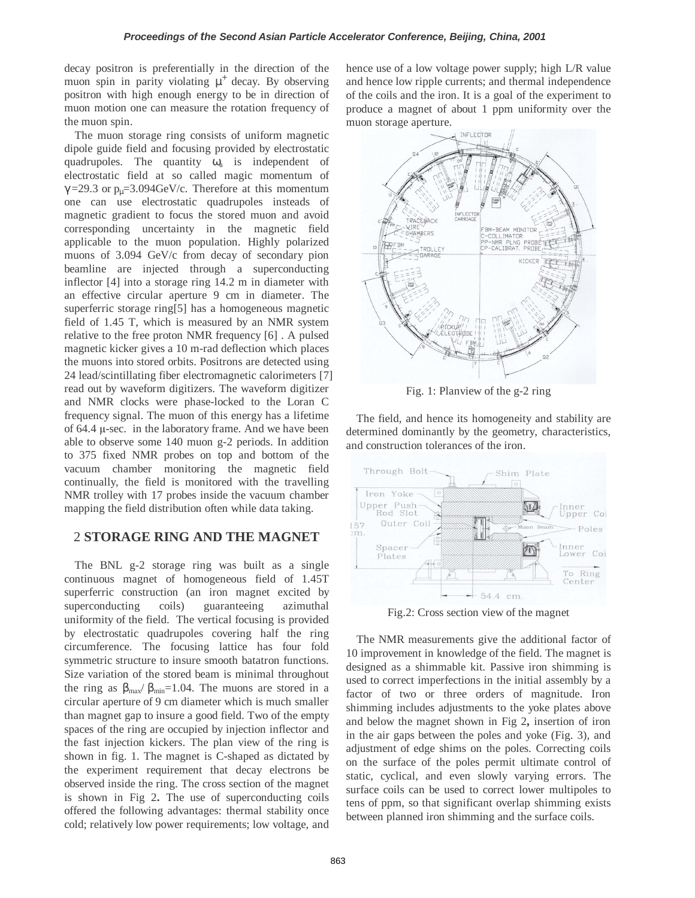decay positron is preferentially in the direction of the muon spin in parity violating  $\mu^+$  decay. By observing positron with high enough energy to be in direction of muon motion one can measure the rotation frequency of the muon spin.

The muon storage ring consists of uniform magnetic dipole guide field and focusing provided by electrostatic quadrupoles. The quantity  $\omega_a$  is independent of electrostatic field at so called magic momentum of  $\gamma$  =29.3 or p<sub>u</sub>=3.094GeV/c. Therefore at this momentum one can use electrostatic quadrupoles insteads of magnetic gradient to focus the stored muon and avoid corresponding uncertainty in the magnetic field applicable to the muon population. Highly polarized muons of 3.094 GeV/c from decay of secondary pion beamline are injected through a superconducting inflector [4] into a storage ring 14.2 m in diameter with an effective circular aperture 9 cm in diameter. The superferric storage ring[5] has a homogeneous magnetic field of 1.45 T, which is measured by an NMR system relative to the free proton NMR frequency [6] . A pulsed magnetic kicker gives a 10 m-rad deflection which places the muons into stored orbits. Positrons are detected using 24 lead/scintillating fiber electromagnetic calorimeters [7] read out by waveform digitizers. The waveform digitizer and NMR clocks were phase-locked to the Loran C frequency signal. The muon of this energy has a lifetime of 64.4 µ*-*sec. in the laboratory frame. And we have been able to observe some 140 muon g-2 periods. In addition to 375 fixed NMR probes on top and bottom of the vacuum chamber monitoring the magnetic field continually, the field is monitored with the travelling NMR trolley with 17 probes inside the vacuum chamber mapping the field distribution often while data taking.

### 2 **STORAGE RING AND THE MAGNET**

The BNL g-2 storage ring was built as a single continuous magnet of homogeneous field of 1.45T superferric construction (an iron magnet excited by superconducting coils) guaranteeing azimuthal uniformity of the field. The vertical focusing is provided by electrostatic quadrupoles covering half the ring circumference. The focusing lattice has four fold symmetric structure to insure smooth batatron functions. Size variation of the stored beam is minimal throughout the ring as  $\beta_{\text{max}}/\beta_{\text{min}}=1.04$ . The muons are stored in a circular aperture of 9 cm diameter which is much smaller than magnet gap to insure a good field. Two of the empty spaces of the ring are occupied by injection inflector and the fast injection kickers. The plan view of the ring is shown in fig. 1. The magnet is C-shaped as dictated by the experiment requirement that decay electrons be observed inside the ring. The cross section of the magnet is shown in Fig 2**.** The use of superconducting coils offered the following advantages: thermal stability once cold; relatively low power requirements; low voltage, and

hence use of a low voltage power supply; high L/R value and hence low ripple currents; and thermal independence of the coils and the iron. It is a goal of the experiment to produce a magnet of about 1 ppm uniformity over the muon storage aperture.



Fig. 1: Planview of the g-2 ring

The field, and hence its homogeneity and stability are determined dominantly by the geometry, characteristics, and construction tolerances of the iron.



Fig.2: Cross section view of the magnet

The NMR measurements give the additional factor of 10 improvement in knowledge of the field. The magnet is designed as a shimmable kit. Passive iron shimming is used to correct imperfections in the initial assembly by a factor of two or three orders of magnitude. Iron shimming includes adjustments to the yoke plates above and below the magnet shown in Fig 2**,** insertion of iron in the air gaps between the poles and yoke (Fig. 3), and adjustment of edge shims on the poles. Correcting coils on the surface of the poles permit ultimate control of static, cyclical, and even slowly varying errors. The surface coils can be used to correct lower multipoles to tens of ppm, so that significant overlap shimming exists between planned iron shimming and the surface coils.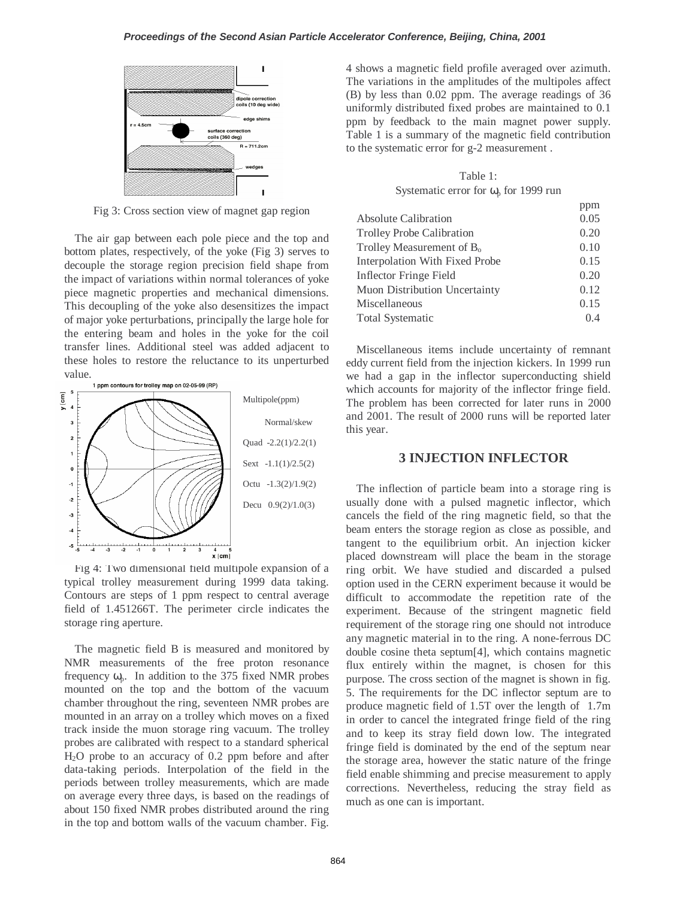

Fig 3: Cross section view of magnet gap region

The air gap between each pole piece and the top and bottom plates, respectively, of the yoke (Fig 3) serves to decouple the storage region precision field shape from the impact of variations within normal tolerances of yoke piece magnetic properties and mechanical dimensions. This decoupling of the yoke also desensitizes the impact of major yoke perturbations, principally the large hole for the entering beam and holes in the yoke for the coil transfer lines. Additional steel was added adjacent to these holes to restore the reluctance to its unperturbed



Fig 4: Two dimensional field multipole expansion of a typical trolley measurement during 1999 data taking. Contours are steps of 1 ppm respect to central average field of 1.451266T. The perimeter circle indicates the storage ring aperture.

The magnetic field B is measured and monitored by NMR measurements of the free proton resonance frequency  $\omega_p$ . In addition to the 375 fixed NMR probes mounted on the top and the bottom of the vacuum chamber throughout the ring, seventeen NMR probes are mounted in an array on a trolley which moves on a fixed track inside the muon storage ring vacuum. The trolley probes are calibrated with respect to a standard spherical H2O probe to an accuracy of 0.2 ppm before and after data-taking periods. Interpolation of the field in the periods between trolley measurements, which are made on average every three days, is based on the readings of about 150 fixed NMR probes distributed around the ring in the top and bottom walls of the vacuum chamber. Fig.

4 shows a magnetic field profile averaged over azimuth. The variations in the amplitudes of the multipoles affect (B) by less than 0.02 ppm. The average readings of 36 uniformly distributed fixed probes are maintained to 0.1 ppm by feedback to the main magnet power supply. Table 1 is a summary of the magnetic field contribution to the systematic error for g-2 measurement .

Table 1: Systematic error for  $\omega_{p}$  for 1999 run

|                                  | ppm  |
|----------------------------------|------|
| <b>Absolute Calibration</b>      | 0.05 |
| <b>Trolley Probe Calibration</b> | 0.20 |
| Trolley Measurement of $B_0$     | 0.10 |
| Interpolation With Fixed Probe   | 0.15 |
| Inflector Fringe Field           | 0.20 |
| Muon Distribution Uncertainty    | 0.12 |
| Miscellaneous                    | 0.15 |
| <b>Total Systematic</b>          | 0.4  |

Miscellaneous items include uncertainty of remnant eddy current field from the injection kickers. In 1999 run we had a gap in the inflector superconducting shield which accounts for majority of the inflector fringe field. The problem has been corrected for later runs in 2000 and 2001. The result of 2000 runs will be reported later this year.

### **3 INJECTION INFLECTOR**

The inflection of particle beam into a storage ring is usually done with a pulsed magnetic inflector, which cancels the field of the ring magnetic field, so that the beam enters the storage region as close as possible, and tangent to the equilibrium orbit. An injection kicker placed downstream will place the beam in the storage ring orbit. We have studied and discarded a pulsed option used in the CERN experiment because it would be difficult to accommodate the repetition rate of the experiment. Because of the stringent magnetic field requirement of the storage ring one should not introduce any magnetic material in to the ring. A none-ferrous DC double cosine theta septum[4], which contains magnetic flux entirely within the magnet, is chosen for this purpose. The cross section of the magnet is shown in fig. 5. The requirements for the DC inflector septum are to produce magnetic field of 1.5T over the length of 1.7m in order to cancel the integrated fringe field of the ring and to keep its stray field down low. The integrated fringe field is dominated by the end of the septum near the storage area, however the static nature of the fringe field enable shimming and precise measurement to apply corrections. Nevertheless, reducing the stray field as much as one can is important.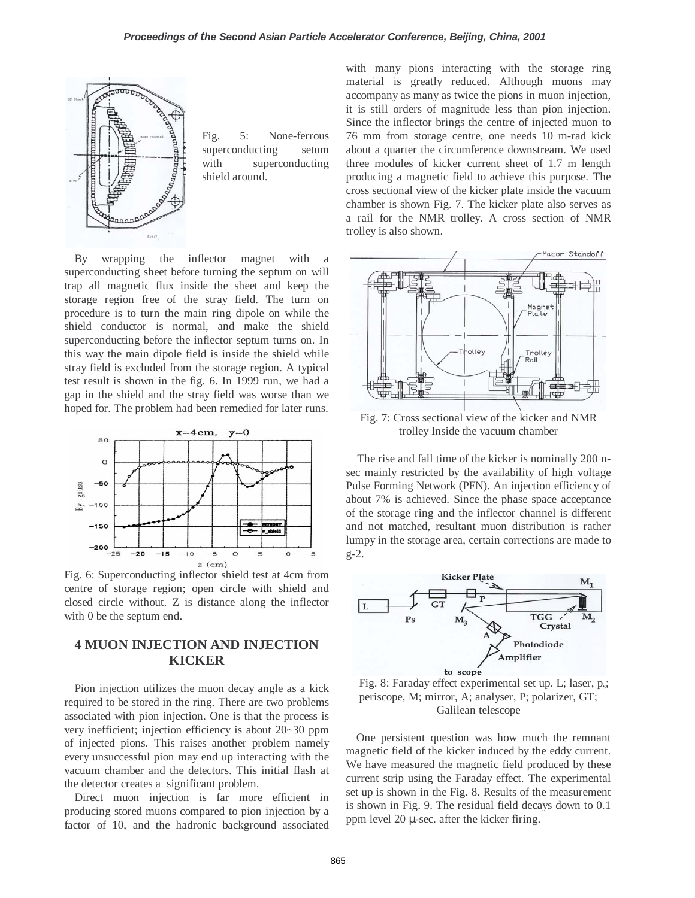

Fig. 5: None-ferrous superconducting setum with superconducting shield around.

By wrapping the inflector magnet with a superconducting sheet before turning the septum on will trap all magnetic flux inside the sheet and keep the storage region free of the stray field. The turn on procedure is to turn the main ring dipole on while the shield conductor is normal, and make the shield superconducting before the inflector septum turns on. In this way the main dipole field is inside the shield while stray field is excluded from the storage region. A typical test result is shown in the fig. 6. In 1999 run, we had a gap in the shield and the stray field was worse than we hoped for. The problem had been remedied for later runs.



Fig. 6: Superconducting inflector shield test at 4cm from centre of storage region; open circle with shield and closed circle without. Z is distance along the inflector with 0 be the septum end.

## **4 MUON INJECTION AND INJECTION KICKER**

Pion injection utilizes the muon decay angle as a kick required to be stored in the ring. There are two problems associated with pion injection. One is that the process is very inefficient; injection efficiency is about 20~30 ppm of injected pions. This raises another problem namely every unsuccessful pion may end up interacting with the vacuum chamber and the detectors. This initial flash at the detector creates a significant problem.

Direct muon injection is far more efficient in producing stored muons compared to pion injection by a factor of 10, and the hadronic background associated with many pions interacting with the storage ring material is greatly reduced. Although muons may accompany as many as twice the pions in muon injection, it is still orders of magnitude less than pion injection. Since the inflector brings the centre of injected muon to 76 mm from storage centre, one needs 10 m-rad kick about a quarter the circumference downstream. We used three modules of kicker current sheet of 1.7 m length producing a magnetic field to achieve this purpose. The cross sectional view of the kicker plate inside the vacuum chamber is shown Fig. 7. The kicker plate also serves as a rail for the NMR trolley. A cross section of NMR trolley is also shown.



Fig. 7: Cross sectional view of the kicker and NMR trolley Inside the vacuum chamber

The rise and fall time of the kicker is nominally 200 nsec mainly restricted by the availability of high voltage Pulse Forming Network (PFN). An injection efficiency of about 7% is achieved. Since the phase space acceptance of the storage ring and the inflector channel is different and not matched, resultant muon distribution is rather lumpy in the storage area, certain corrections are made to g-2.



Fig. 8: Faraday effect experimental set up. L; laser,  $p_s$ ; periscope, M; mirror, A; analyser, P; polarizer, GT; Galilean telescope

One persistent question was how much the remnant magnetic field of the kicker induced by the eddy current. We have measured the magnetic field produced by these current strip using the Faraday effect. The experimental set up is shown in the Fig. 8. Results of the measurement is shown in Fig. 9. The residual field decays down to 0.1 ppm level  $20 \mu$ -sec. after the kicker firing.